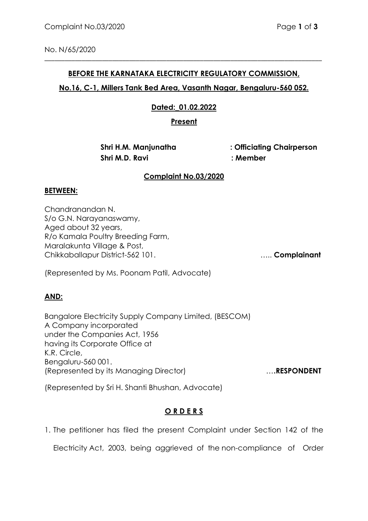No. N/65/2020

## **BEFORE THE KARNATAKA ELECTRICITY REGULATORY COMMISSION,**

\_\_\_\_\_\_\_\_\_\_\_\_\_\_\_\_\_\_\_\_\_\_\_\_\_\_\_\_\_\_\_\_\_\_\_\_\_\_\_\_\_\_\_\_\_\_\_\_\_\_\_\_\_\_\_\_\_\_\_\_\_\_\_\_\_\_\_\_\_\_\_\_\_\_\_\_\_\_\_\_\_\_

### **No.16, C-1, Millers Tank Bed Area, Vasanth Nagar, Bengaluru-560 052.**

## **Dated:\_01.02.2022**

**Present**

 **Shri M.D. Ravi : Member**

 **Shri H.M. Manjunatha : Officiating Chairperson** 

#### **Complaint No.03/2020**

#### **BETWEEN:**

Chandranandan N. S/o G.N. Narayanaswamy, Aged about 32 years, R/o Kamala Poultry Breeding Farm, Maralakunta Village & Post, Chikkaballapur District-562 101. ….. **Complainant**

(Represented by Ms. Poonam Patil, Advocate)

#### **AND:**

Bangalore Electricity Supply Company Limited, (BESCOM) A Company incorporated under the Companies Act, 1956 having its Corporate Office at K.R. Circle, Bengaluru-560 001. (Represented by its Managing Director) …**.RESPONDENT**

(Represented by Sri H. Shanti Bhushan, Advocate)

## **O R D E R S**

1. The petitioner has filed the present Complaint under Section 142 of the

Electricity Act, 2003, being aggrieved of the non-compliance of Order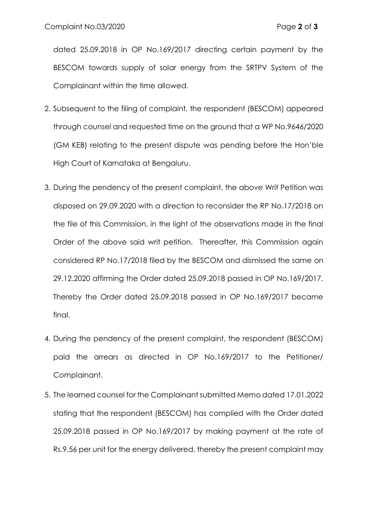dated 25.09.2018 in OP No.169/2017 directing certain payment by the BESCOM towards supply of solar energy from the SRTPV System of the Complainant within the time allowed.

- 2. Subsequent to the filing of complaint, the respondent (BESCOM) appeared through counsel and requested time on the ground that a WP No.9646/2020 (GM KEB) relating to the present dispute was pending before the Hon'ble High Court of Karnataka at Bengaluru.
- 3. During the pendency of the present complaint, the above Writ Petition was disposed on 29.09.2020 with a direction to reconsider the RP No.17/2018 on the file of this Commission, in the light of the observations made in the final Order of the above said writ petition. Thereafter, this Commission again considered RP No.17/2018 filed by the BESCOM and dismissed the same on 29.12.2020 affirming the Order dated 25.09.2018 passed in OP No.169/2017. Thereby the Order dated 25.09.2018 passed in OP No.169/2017 became final.
- 4. During the pendency of the present complaint, the respondent (BESCOM) paid the arrears as directed in OP No.169/2017 to the Petitioner/ Complainant.
- 5. The learned counsel for the Complainant submitted Memo dated 17.01.2022 stating that the respondent (BESCOM) has complied with the Order dated 25.09.2018 passed in OP No.169/2017 by making payment at the rate of Rs.9.56 per unit for the energy delivered, thereby the present complaint may